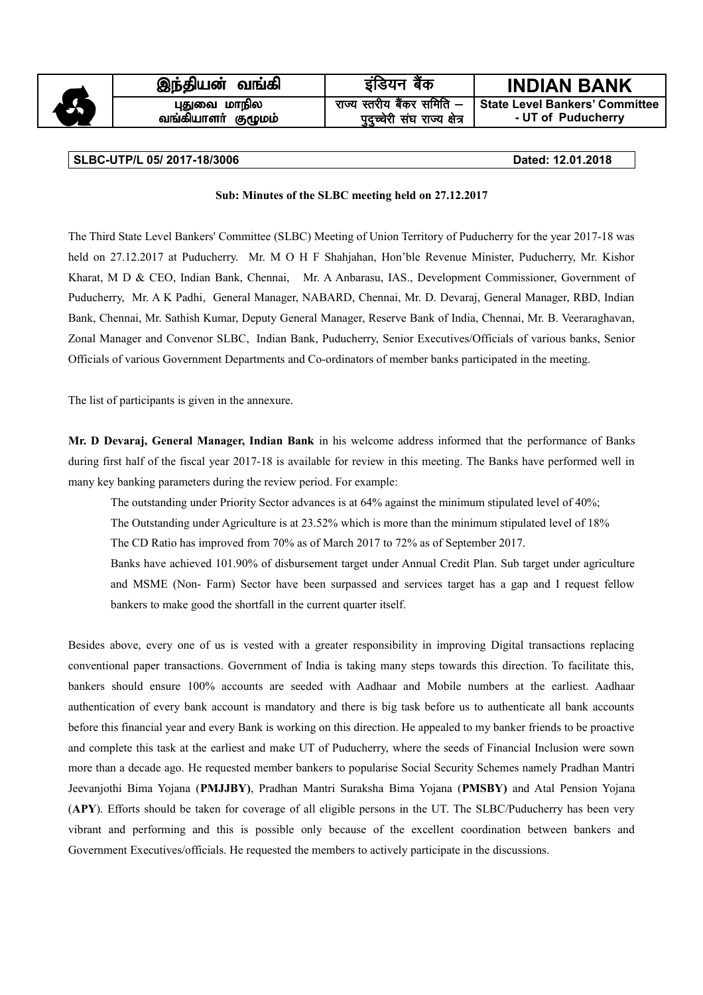| இந்தியன் வங்கி     | इंडियन बैंक                  | <b>INDIAN BANK</b>             |
|--------------------|------------------------------|--------------------------------|
| புதுவை மாநில       | राज्य स्तरीय बैंकर समिति — . | State Level Bankers' Committee |
| வங்கியாளா் குழூமம் | पदच्चेरी संघ राज्य क्षेत्र   | - UT of Puducherry             |

## **SLBC-UTP/L 05/ 2017-18/3006 Dated: 12.01.2018**

## **Sub: Minutes of the SLBC meeting held on 27.12.2017**

The Third State Level Bankers' Committee (SLBC) Meeting of Union Territory of Puducherry for the year 2017-18 was held on 27.12.2017 at Puducherry. Mr. M O H F Shahjahan, Hon'ble Revenue Minister, Puducherry, Mr. Kishor Kharat, M D & CEO, Indian Bank, Chennai, Mr. A Anbarasu, IAS., Development Commissioner, Government of Puducherry, Mr. A K Padhi, General Manager, NABARD, Chennai, Mr. D. Devaraj, General Manager, RBD, Indian Bank, Chennai, Mr. Sathish Kumar, Deputy General Manager, Reserve Bank of India, Chennai, Mr. B. Veeraraghavan, Zonal Manager and Convenor SLBC, Indian Bank, Puducherry, Senior Executives/Officials of various banks, Senior Officials of various Government Departments and Co-ordinators of member banks participated in the meeting.

The list of participants is given in the annexure.

**Mr. D Devaraj, General Manager, Indian Bank** in his welcome address informed that the performance of Banks during first half of the fiscal year 2017-18 is available for review in this meeting. The Banks have performed well in many key banking parameters during the review period. For example:

The outstanding under Priority Sector advances is at 64% against the minimum stipulated level of 40%;

The Outstanding under Agriculture is at 23.52% which is more than the minimum stipulated level of 18%

The CD Ratio has improved from 70% as of March 2017 to 72% as of September 2017.

Banks have achieved 101.90% of disbursement target under Annual Credit Plan. Sub target under agriculture and MSME (Non- Farm) Sector have been surpassed and services target has a gap and I request fellow bankers to make good the shortfall in the current quarter itself.

Besides above, every one of us is vested with a greater responsibility in improving Digital transactions replacing conventional paper transactions. Government of India is taking many steps towards this direction. To facilitate this, bankers should ensure 100% accounts are seeded with Aadhaar and Mobile numbers at the earliest. Aadhaar authentication of every bank account is mandatory and there is big task before us to authenticate all bank accounts before this financial year and every Bank is working on this direction. He appealed to my banker friends to be proactive and complete this task at the earliest and make UT of Puducherry, where the seeds of Financial Inclusion were sown more than a decade ago. He requested member bankers to popularise Social Security Schemes namely Pradhan Mantri Jeevanjothi Bima Yojana (**PMJJBY)**, Pradhan Mantri Suraksha Bima Yojana (**PMSBY)** and Atal Pension Yojana (**APY**). Efforts should be taken for coverage of all eligible persons in the UT. The SLBC/Puducherry has been very vibrant and performing and this is possible only because of the excellent coordination between bankers and Government Executives/officials. He requested the members to actively participate in the discussions.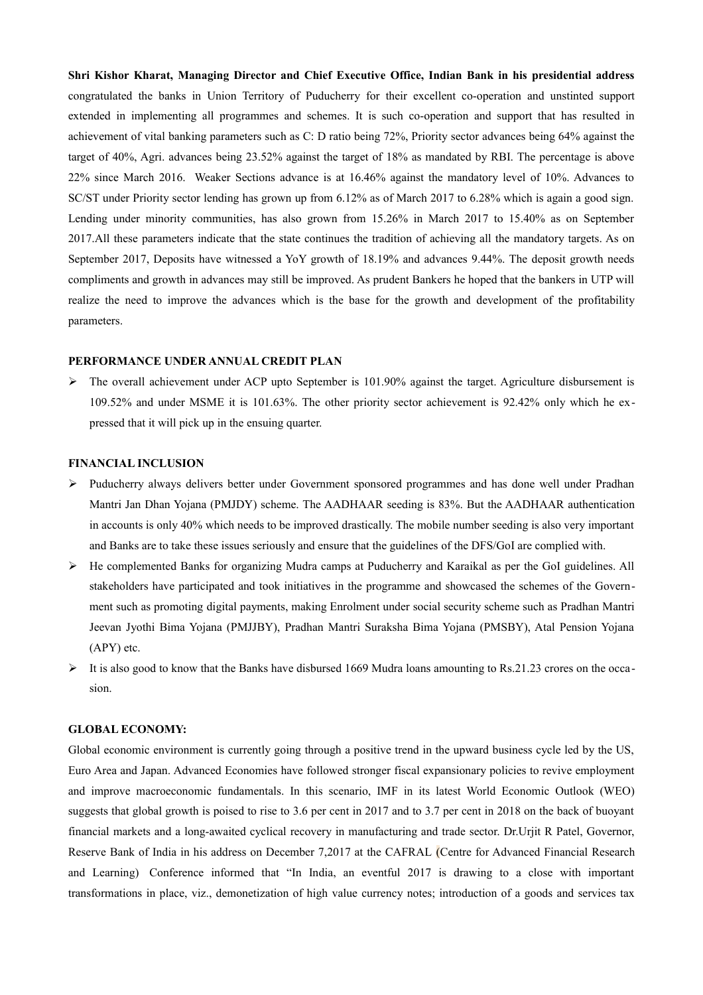**Shri Kishor Kharat, Managing Director and Chief Executive Office, Indian Bank in his presidential address** congratulated the banks in Union Territory of Puducherry for their excellent co-operation and unstinted support extended in implementing all programmes and schemes. It is such co-operation and support that has resulted in achievement of vital banking parameters such as C: D ratio being 72%, Priority sector advances being 64% against the target of 40%, Agri. advances being 23.52% against the target of 18% as mandated by RBI. The percentage is above 22% since March 2016. Weaker Sections advance is at 16.46% against the mandatory level of 10%. Advances to SC/ST under Priority sector lending has grown up from 6.12% as of March 2017 to 6.28% which is again a good sign. Lending under minority communities, has also grown from 15.26% in March 2017 to 15.40% as on September 2017.All these parameters indicate that the state continues the tradition of achieving all the mandatory targets. As on September 2017, Deposits have witnessed a YoY growth of 18.19% and advances 9.44%. The deposit growth needs compliments and growth in advances may still be improved. As prudent Bankers he hoped that the bankers in UTP will realize the need to improve the advances which is the base for the growth and development of the profitability parameters.

## **PERFORMANCE UNDER ANNUAL CREDIT PLAN**

 $\triangleright$  The overall achievement under ACP upto September is 101.90% against the target. Agriculture disbursement is 109.52% and under MSME it is 101.63%. The other priority sector achievement is 92.42% only which he expressed that it will pick up in the ensuing quarter.

#### **FINANCIAL INCLUSION**

- Puducherry always delivers better under Government sponsored programmes and has done well under Pradhan Mantri Jan Dhan Yojana (PMJDY) scheme. The AADHAAR seeding is 83%. But the AADHAAR authentication in accounts is only 40% which needs to be improved drastically. The mobile number seeding is also very important and Banks are to take these issues seriously and ensure that the guidelines of the DFS/GoI are complied with.
- He complemented Banks for organizing Mudra camps at Puducherry and Karaikal as per the GoI guidelines. All stakeholders have participated and took initiatives in the programme and showcased the schemes of the Government such as promoting digital payments, making Enrolment under social security scheme such as Pradhan Mantri Jeevan Jyothi Bima Yojana (PMJJBY), Pradhan Mantri Suraksha Bima Yojana (PMSBY), Atal Pension Yojana (APY) etc.
- It is also good to know that the Banks have disbursed 1669 Mudra loans amounting to Rs.21.23 crores on the occasion.

## **GLOBAL ECONOMY:**

Global economic environment is currently going through a positive trend in the upward business cycle led by the US, Euro Area and Japan. Advanced Economies have followed stronger fiscal expansionary policies to revive employment and improve macroeconomic fundamentals. In this scenario, IMF in its latest World Economic Outlook (WEO) suggests that global growth is poised to rise to 3.6 per cent in 2017 and to 3.7 per cent in 2018 on the back of buoyant financial markets and a long-awaited cyclical recovery in manufacturing and trade sector. Dr.Urjit R Patel, Governor, Reserve Bank of India in his address on December 7,2017 at the CAFRAL [\(Centre for Advanced Financial Research](https://www.google.co.in/url?sa=t&rct=j&q=&esrc=s&source=web&cd=8&cad=rja&uact=8&ved=0ahUKEwi4-9Xni5vYAhXKu48KHZyPC3wQFgg9MAc&url=https%3A%2F%2Fin.linkedin.com%2Fcompany%2Fcentre-for-advanced-financial-research-and-learning&usg=AOvVaw3vV1BmFzOZgnYMiwJh15YC) [and Learning\)](https://www.google.co.in/url?sa=t&rct=j&q=&esrc=s&source=web&cd=8&cad=rja&uact=8&ved=0ahUKEwi4-9Xni5vYAhXKu48KHZyPC3wQFgg9MAc&url=https%3A%2F%2Fin.linkedin.com%2Fcompany%2Fcentre-for-advanced-financial-research-and-learning&usg=AOvVaw3vV1BmFzOZgnYMiwJh15YC) Conference informed that "In India, an eventful 2017 is drawing to a close with important transformations in place, viz., demonetization of high value currency notes; introduction of a goods and services tax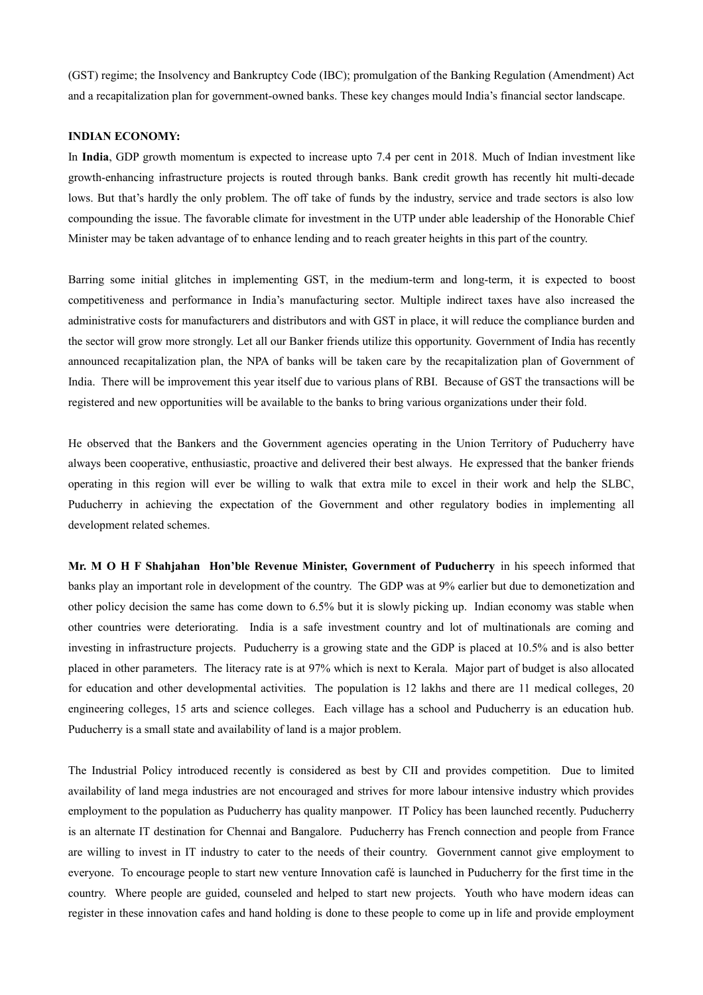(GST) regime; the Insolvency and Bankruptcy Code (IBC); promulgation of the Banking Regulation (Amendment) Act and a recapitalization plan for government-owned banks. These key changes mould India's financial sector landscape.

## **INDIAN ECONOMY:**

In **India**, GDP growth momentum is expected to increase upto 7.4 per cent in 2018. Much of Indian investment like growth-enhancing infrastructure projects is routed through banks. Bank credit growth has recently hit multi-decade lows. But that's hardly the only problem. The off take of funds by the industry, service and trade sectors is also low compounding the issue. The favorable climate for investment in the UTP under able leadership of the Honorable Chief Minister may be taken advantage of to enhance lending and to reach greater heights in this part of the country.

Barring some initial glitches in implementing GST, in the medium-term and long-term, it is expected to boost competitiveness and performance in India's manufacturing sector. Multiple indirect taxes have also increased the administrative costs for manufacturers and distributors and with GST in place, it will reduce the compliance burden and the sector will grow more strongly. Let all our Banker friends utilize this opportunity. Government of India has recently announced recapitalization plan, the NPA of banks will be taken care by the recapitalization plan of Government of India. There will be improvement this year itself due to various plans of RBI. Because of GST the transactions will be registered and new opportunities will be available to the banks to bring various organizations under their fold.

He observed that the Bankers and the Government agencies operating in the Union Territory of Puducherry have always been cooperative, enthusiastic, proactive and delivered their best always. He expressed that the banker friends operating in this region will ever be willing to walk that extra mile to excel in their work and help the SLBC, Puducherry in achieving the expectation of the Government and other regulatory bodies in implementing all development related schemes.

**Mr. M O H F Shahjahan Hon'ble Revenue Minister, Government of Puducherry** in his speech informed that banks play an important role in development of the country. The GDP was at 9% earlier but due to demonetization and other policy decision the same has come down to 6.5% but it is slowly picking up. Indian economy was stable when other countries were deteriorating. India is a safe investment country and lot of multinationals are coming and investing in infrastructure projects. Puducherry is a growing state and the GDP is placed at 10.5% and is also better placed in other parameters. The literacy rate is at 97% which is next to Kerala. Major part of budget is also allocated for education and other developmental activities. The population is 12 lakhs and there are 11 medical colleges, 20 engineering colleges, 15 arts and science colleges. Each village has a school and Puducherry is an education hub. Puducherry is a small state and availability of land is a major problem.

The Industrial Policy introduced recently is considered as best by CII and provides competition. Due to limited availability of land mega industries are not encouraged and strives for more labour intensive industry which provides employment to the population as Puducherry has quality manpower. IT Policy has been launched recently. Puducherry is an alternate IT destination for Chennai and Bangalore. Puducherry has French connection and people from France are willing to invest in IT industry to cater to the needs of their country. Government cannot give employment to everyone. To encourage people to start new venture Innovation café is launched in Puducherry for the first time in the country. Where people are guided, counseled and helped to start new projects. Youth who have modern ideas can register in these innovation cafes and hand holding is done to these people to come up in life and provide employment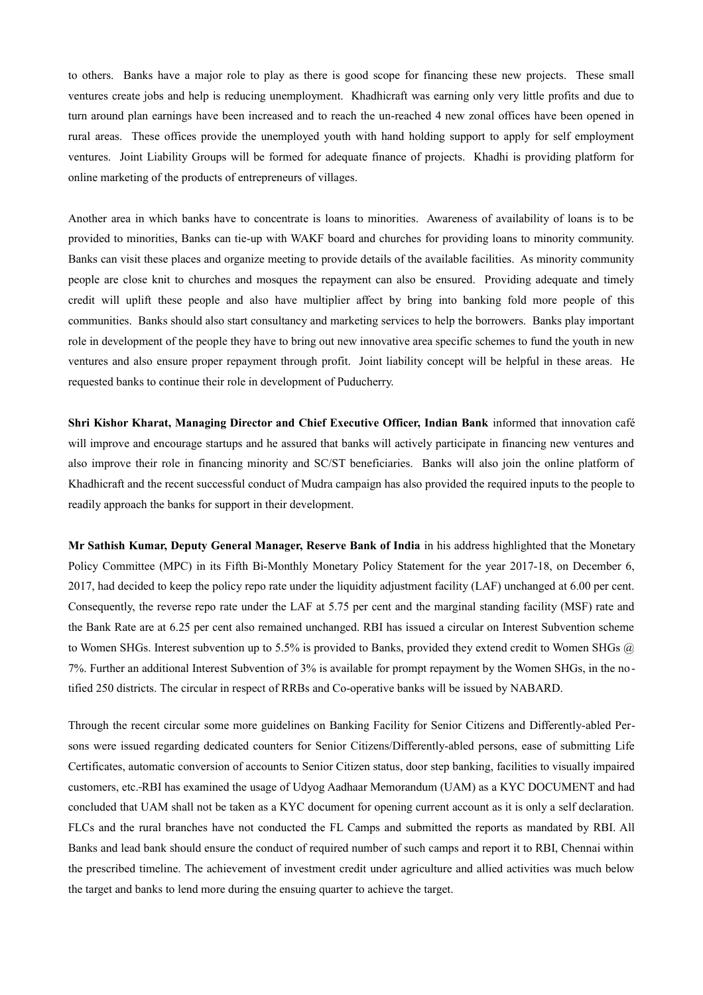to others. Banks have a major role to play as there is good scope for financing these new projects. These small ventures create jobs and help is reducing unemployment. Khadhicraft was earning only very little profits and due to turn around plan earnings have been increased and to reach the un-reached 4 new zonal offices have been opened in rural areas. These offices provide the unemployed youth with hand holding support to apply for self employment ventures. Joint Liability Groups will be formed for adequate finance of projects. Khadhi is providing platform for online marketing of the products of entrepreneurs of villages.

Another area in which banks have to concentrate is loans to minorities. Awareness of availability of loans is to be provided to minorities, Banks can tie-up with WAKF board and churches for providing loans to minority community. Banks can visit these places and organize meeting to provide details of the available facilities. As minority community people are close knit to churches and mosques the repayment can also be ensured. Providing adequate and timely credit will uplift these people and also have multiplier affect by bring into banking fold more people of this communities. Banks should also start consultancy and marketing services to help the borrowers. Banks play important role in development of the people they have to bring out new innovative area specific schemes to fund the youth in new ventures and also ensure proper repayment through profit. Joint liability concept will be helpful in these areas. He requested banks to continue their role in development of Puducherry.

**Shri Kishor Kharat, Managing Director and Chief Executive Officer, Indian Bank** informed that innovation café will improve and encourage startups and he assured that banks will actively participate in financing new ventures and also improve their role in financing minority and SC/ST beneficiaries. Banks will also join the online platform of Khadhicraft and the recent successful conduct of Mudra campaign has also provided the required inputs to the people to readily approach the banks for support in their development.

**Mr Sathish Kumar, Deputy General Manager, Reserve Bank of India** in his address highlighted that the Monetary Policy Committee (MPC) in its Fifth Bi-Monthly Monetary Policy Statement for the year 2017-18, on December 6, 2017, had decided to keep the policy repo rate under the liquidity adjustment facility (LAF) unchanged at 6.00 per cent. Consequently, the reverse repo rate under the LAF at 5.75 per cent and the marginal standing facility (MSF) rate and the Bank Rate are at 6.25 per cent also remained unchanged. RBI has issued a circular on Interest Subvention scheme to Women SHGs. Interest subvention up to 5.5% is provided to Banks, provided they extend credit to Women SHGs  $(a)$ 7%. Further an additional Interest Subvention of 3% is available for prompt repayment by the Women SHGs, in the notified 250 districts. The circular in respect of RRBs and Co-operative banks will be issued by NABARD.

Through the recent circular some more guidelines on Banking Facility for Senior Citizens and Differently-abled Persons were issued regarding dedicated counters for Senior Citizens/Differently-abled persons, ease of submitting Life Certificates, automatic conversion of accounts to Senior Citizen status, door step banking, facilities to visually impaired customers, etc. RBI has examined the usage of Udyog Aadhaar Memorandum (UAM) as a KYC DOCUMENT and had concluded that UAM shall not be taken as a KYC document for opening current account as it is only a self declaration. FLCs and the rural branches have not conducted the FL Camps and submitted the reports as mandated by RBI. All Banks and lead bank should ensure the conduct of required number of such camps and report it to RBI, Chennai within the prescribed timeline. The achievement of investment credit under agriculture and allied activities was much below the target and banks to lend more during the ensuing quarter to achieve the target.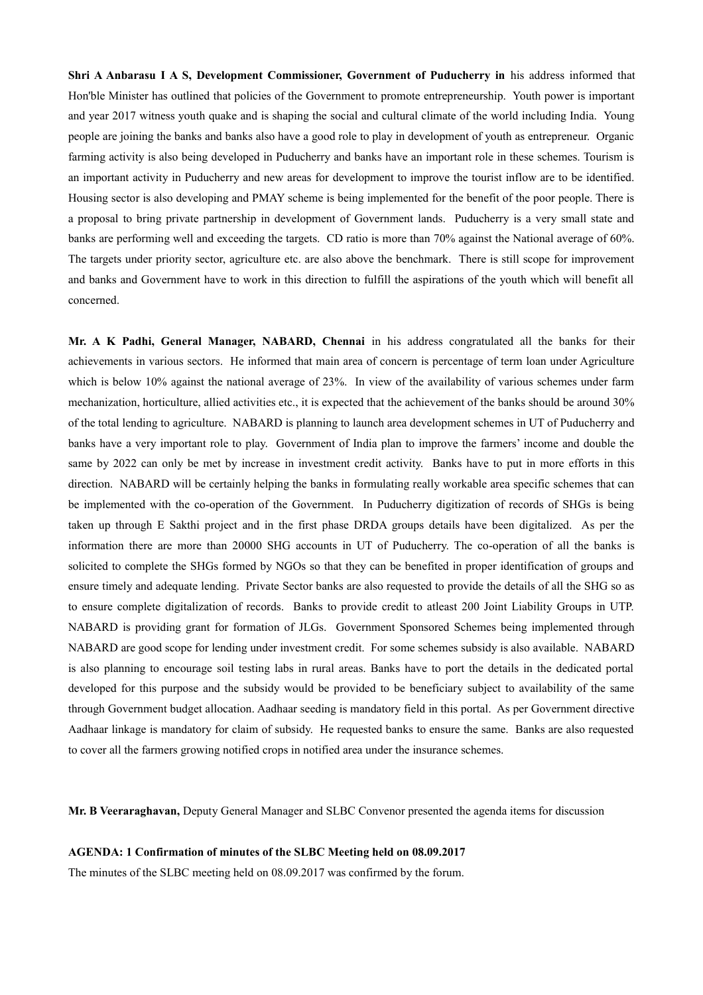**Shri A Anbarasu I A S, Development Commissioner, Government of Puducherry in** his address informed that Hon'ble Minister has outlined that policies of the Government to promote entrepreneurship. Youth power is important and year 2017 witness youth quake and is shaping the social and cultural climate of the world including India. Young people are joining the banks and banks also have a good role to play in development of youth as entrepreneur. Organic farming activity is also being developed in Puducherry and banks have an important role in these schemes. Tourism is an important activity in Puducherry and new areas for development to improve the tourist inflow are to be identified. Housing sector is also developing and PMAY scheme is being implemented for the benefit of the poor people. There is a proposal to bring private partnership in development of Government lands. Puducherry is a very small state and banks are performing well and exceeding the targets. CD ratio is more than 70% against the National average of 60%. The targets under priority sector, agriculture etc. are also above the benchmark. There is still scope for improvement and banks and Government have to work in this direction to fulfill the aspirations of the youth which will benefit all concerned.

**Mr. A K Padhi, General Manager, NABARD, Chennai** in his address congratulated all the banks for their achievements in various sectors. He informed that main area of concern is percentage of term loan under Agriculture which is below 10% against the national average of 23%. In view of the availability of various schemes under farm mechanization, horticulture, allied activities etc., it is expected that the achievement of the banks should be around 30% of the total lending to agriculture. NABARD is planning to launch area development schemes in UT of Puducherry and banks have a very important role to play. Government of India plan to improve the farmers' income and double the same by 2022 can only be met by increase in investment credit activity. Banks have to put in more efforts in this direction. NABARD will be certainly helping the banks in formulating really workable area specific schemes that can be implemented with the co-operation of the Government. In Puducherry digitization of records of SHGs is being taken up through E Sakthi project and in the first phase DRDA groups details have been digitalized. As per the information there are more than 20000 SHG accounts in UT of Puducherry. The co-operation of all the banks is solicited to complete the SHGs formed by NGOs so that they can be benefited in proper identification of groups and ensure timely and adequate lending. Private Sector banks are also requested to provide the details of all the SHG so as to ensure complete digitalization of records. Banks to provide credit to atleast 200 Joint Liability Groups in UTP. NABARD is providing grant for formation of JLGs. Government Sponsored Schemes being implemented through NABARD are good scope for lending under investment credit. For some schemes subsidy is also available. NABARD is also planning to encourage soil testing labs in rural areas. Banks have to port the details in the dedicated portal developed for this purpose and the subsidy would be provided to be beneficiary subject to availability of the same through Government budget allocation. Aadhaar seeding is mandatory field in this portal. As per Government directive Aadhaar linkage is mandatory for claim of subsidy. He requested banks to ensure the same. Banks are also requested to cover all the farmers growing notified crops in notified area under the insurance schemes.

**Mr. B Veeraraghavan,** Deputy General Manager and SLBC Convenor presented the agenda items for discussion

#### **AGENDA: 1 Confirmation of minutes of the SLBC Meeting held on 08.09.2017**

The minutes of the SLBC meeting held on 08.09.2017 was confirmed by the forum.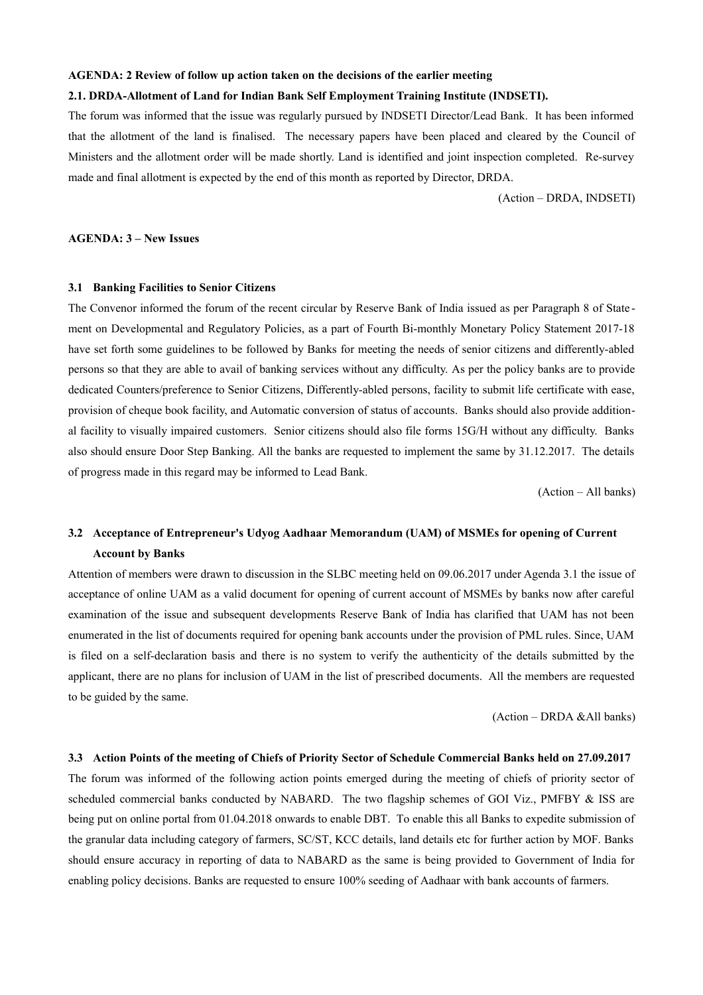#### **AGENDA: 2 Review of follow up action taken on the decisions of the earlier meeting**

## **2.1. DRDA-Allotment of Land for Indian Bank Self Employment Training Institute (INDSETI).**

The forum was informed that the issue was regularly pursued by INDSETI Director/Lead Bank. It has been informed that the allotment of the land is finalised. The necessary papers have been placed and cleared by the Council of Ministers and the allotment order will be made shortly. Land is identified and joint inspection completed. Re-survey made and final allotment is expected by the end of this month as reported by Director, DRDA.

(Action – DRDA, INDSETI)

## **AGENDA: 3 – New Issues**

## **3.1 Banking Facilities to Senior Citizens**

The Convenor informed the forum of the recent circular by Reserve Bank of India issued as per Paragraph 8 of State ment on Developmental and Regulatory Policies, as a part of Fourth Bi-monthly Monetary Policy Statement 2017-18 have set forth some guidelines to be followed by Banks for meeting the needs of senior citizens and differently-abled persons so that they are able to avail of banking services without any difficulty. As per the policy banks are to provide dedicated Counters/preference to Senior Citizens, Differently-abled persons, facility to submit life certificate with ease, provision of cheque book facility, and Automatic conversion of status of accounts. Banks should also provide additional facility to visually impaired customers. Senior citizens should also file forms 15G/H without any difficulty. Banks also should ensure Door Step Banking. All the banks are requested to implement the same by 31.12.2017. The details of progress made in this regard may be informed to Lead Bank.

(Action – All banks)

## **3.2 Acceptance of Entrepreneur's Udyog Aadhaar Memorandum (UAM) of MSMEs for opening of Current Account by Banks**

Attention of members were drawn to discussion in the SLBC meeting held on 09.06.2017 under Agenda 3.1 the issue of acceptance of online UAM as a valid document for opening of current account of MSMEs by banks now after careful examination of the issue and subsequent developments Reserve Bank of India has clarified that UAM has not been enumerated in the list of documents required for opening bank accounts under the provision of PML rules. Since, UAM is filed on a self-declaration basis and there is no system to verify the authenticity of the details submitted by the applicant, there are no plans for inclusion of UAM in the list of prescribed documents. All the members are requested to be guided by the same.

(Action – DRDA &All banks)

#### **3.3 Action Points of the meeting of Chiefs of Priority Sector of Schedule Commercial Banks held on 27.09.2017**

The forum was informed of the following action points emerged during the meeting of chiefs of priority sector of scheduled commercial banks conducted by NABARD. The two flagship schemes of GOI Viz., PMFBY & ISS are being put on online portal from 01.04.2018 onwards to enable DBT. To enable this all Banks to expedite submission of the granular data including category of farmers, SC/ST, KCC details, land details etc for further action by MOF. Banks should ensure accuracy in reporting of data to NABARD as the same is being provided to Government of India for enabling policy decisions. Banks are requested to ensure 100% seeding of Aadhaar with bank accounts of farmers.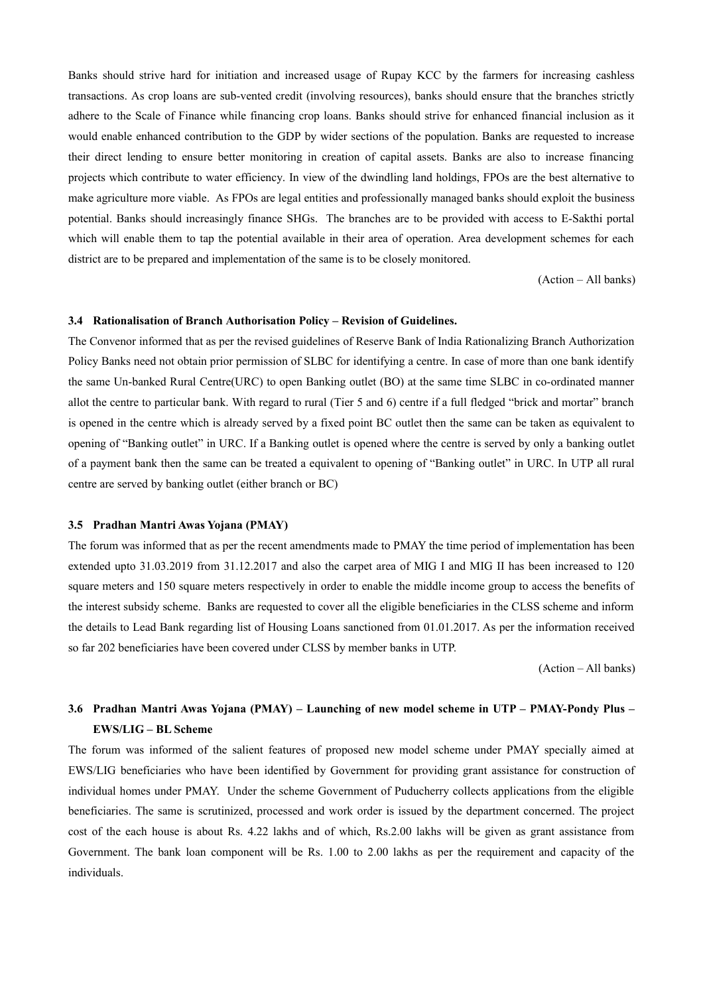Banks should strive hard for initiation and increased usage of Rupay KCC by the farmers for increasing cashless transactions. As crop loans are sub-vented credit (involving resources), banks should ensure that the branches strictly adhere to the Scale of Finance while financing crop loans. Banks should strive for enhanced financial inclusion as it would enable enhanced contribution to the GDP by wider sections of the population. Banks are requested to increase their direct lending to ensure better monitoring in creation of capital assets. Banks are also to increase financing projects which contribute to water efficiency. In view of the dwindling land holdings, FPOs are the best alternative to make agriculture more viable. As FPOs are legal entities and professionally managed banks should exploit the business potential. Banks should increasingly finance SHGs. The branches are to be provided with access to E-Sakthi portal which will enable them to tap the potential available in their area of operation. Area development schemes for each district are to be prepared and implementation of the same is to be closely monitored.

(Action – All banks)

## **3.4 Rationalisation of Branch Authorisation Policy – Revision of Guidelines.**

The Convenor informed that as per the revised guidelines of Reserve Bank of India Rationalizing Branch Authorization Policy Banks need not obtain prior permission of SLBC for identifying a centre. In case of more than one bank identify the same Un-banked Rural Centre(URC) to open Banking outlet (BO) at the same time SLBC in co-ordinated manner allot the centre to particular bank. With regard to rural (Tier 5 and 6) centre if a full fledged "brick and mortar" branch is opened in the centre which is already served by a fixed point BC outlet then the same can be taken as equivalent to opening of "Banking outlet" in URC. If a Banking outlet is opened where the centre is served by only a banking outlet of a payment bank then the same can be treated a equivalent to opening of "Banking outlet" in URC. In UTP all rural centre are served by banking outlet (either branch or BC)

## **3.5 Pradhan Mantri Awas Yojana (PMAY)**

The forum was informed that as per the recent amendments made to PMAY the time period of implementation has been extended upto 31.03.2019 from 31.12.2017 and also the carpet area of MIG I and MIG II has been increased to 120 square meters and 150 square meters respectively in order to enable the middle income group to access the benefits of the interest subsidy scheme. Banks are requested to cover all the eligible beneficiaries in the CLSS scheme and inform the details to Lead Bank regarding list of Housing Loans sanctioned from 01.01.2017. As per the information received so far 202 beneficiaries have been covered under CLSS by member banks in UTP.

(Action – All banks)

# **3.6 Pradhan Mantri Awas Yojana (PMAY) – Launching of new model scheme in UTP – PMAY-Pondy Plus – EWS/LIG – BL Scheme**

The forum was informed of the salient features of proposed new model scheme under PMAY specially aimed at EWS/LIG beneficiaries who have been identified by Government for providing grant assistance for construction of individual homes under PMAY. Under the scheme Government of Puducherry collects applications from the eligible beneficiaries. The same is scrutinized, processed and work order is issued by the department concerned. The project cost of the each house is about Rs. 4.22 lakhs and of which, Rs.2.00 lakhs will be given as grant assistance from Government. The bank loan component will be Rs. 1.00 to 2.00 lakhs as per the requirement and capacity of the individuals.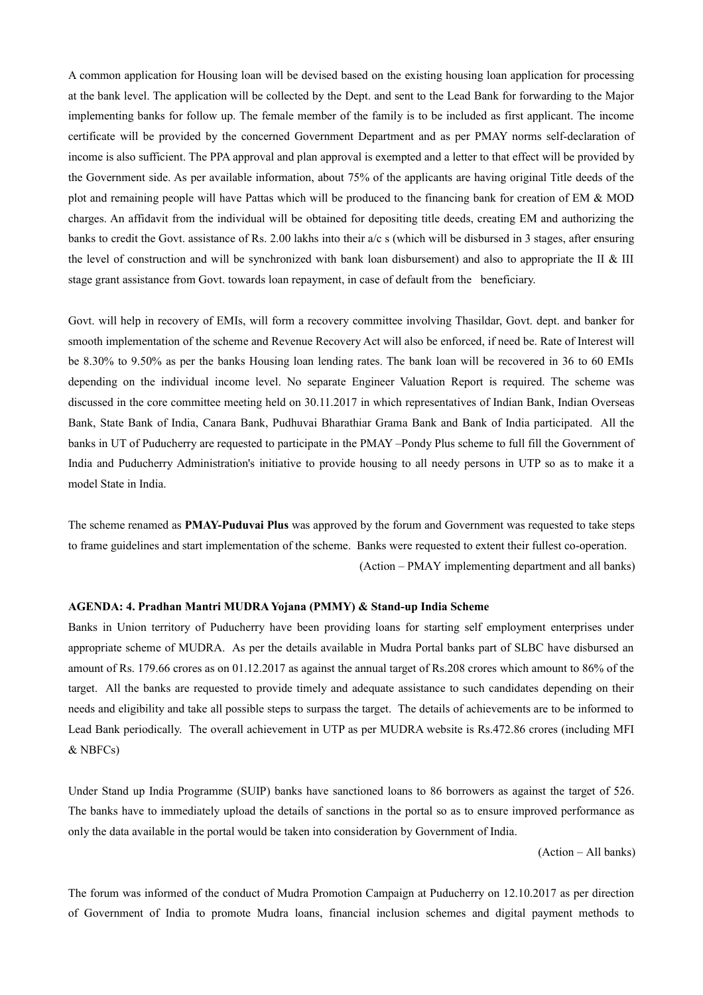A common application for Housing loan will be devised based on the existing housing loan application for processing at the bank level. The application will be collected by the Dept. and sent to the Lead Bank for forwarding to the Major implementing banks for follow up. The female member of the family is to be included as first applicant. The income certificate will be provided by the concerned Government Department and as per PMAY norms self-declaration of income is also sufficient. The PPA approval and plan approval is exempted and a letter to that effect will be provided by the Government side. As per available information, about 75% of the applicants are having original Title deeds of the plot and remaining people will have Pattas which will be produced to the financing bank for creation of EM & MOD charges. An affidavit from the individual will be obtained for depositing title deeds, creating EM and authorizing the banks to credit the Govt. assistance of Rs. 2.00 lakhs into their a/c s (which will be disbursed in 3 stages, after ensuring the level of construction and will be synchronized with bank loan disbursement) and also to appropriate the II & III stage grant assistance from Govt. towards loan repayment, in case of default from the beneficiary.

Govt. will help in recovery of EMIs, will form a recovery committee involving Thasildar, Govt. dept. and banker for smooth implementation of the scheme and Revenue Recovery Act will also be enforced, if need be. Rate of Interest will be 8.30% to 9.50% as per the banks Housing loan lending rates. The bank loan will be recovered in 36 to 60 EMIs depending on the individual income level. No separate Engineer Valuation Report is required. The scheme was discussed in the core committee meeting held on 30.11.2017 in which representatives of Indian Bank, Indian Overseas Bank, State Bank of India, Canara Bank, Pudhuvai Bharathiar Grama Bank and Bank of India participated. All the banks in UT of Puducherry are requested to participate in the PMAY –Pondy Plus scheme to full fill the Government of India and Puducherry Administration's initiative to provide housing to all needy persons in UTP so as to make it a model State in India.

The scheme renamed as **PMAY-Puduvai Plus** was approved by the forum and Government was requested to take steps to frame guidelines and start implementation of the scheme. Banks were requested to extent their fullest co-operation. (Action – PMAY implementing department and all banks)

#### **AGENDA: 4. Pradhan Mantri MUDRA Yojana (PMMY) & Stand-up India Scheme**

Banks in Union territory of Puducherry have been providing loans for starting self employment enterprises under appropriate scheme of MUDRA. As per the details available in Mudra Portal banks part of SLBC have disbursed an amount of Rs. 179.66 crores as on 01.12.2017 as against the annual target of Rs.208 crores which amount to 86% of the target. All the banks are requested to provide timely and adequate assistance to such candidates depending on their needs and eligibility and take all possible steps to surpass the target. The details of achievements are to be informed to Lead Bank periodically. The overall achievement in UTP as per MUDRA website is Rs.472.86 crores (including MFI & NBFCs)

Under Stand up India Programme (SUIP) banks have sanctioned loans to 86 borrowers as against the target of 526. The banks have to immediately upload the details of sanctions in the portal so as to ensure improved performance as only the data available in the portal would be taken into consideration by Government of India.

(Action – All banks)

The forum was informed of the conduct of Mudra Promotion Campaign at Puducherry on 12.10.2017 as per direction of Government of India to promote Mudra loans, financial inclusion schemes and digital payment methods to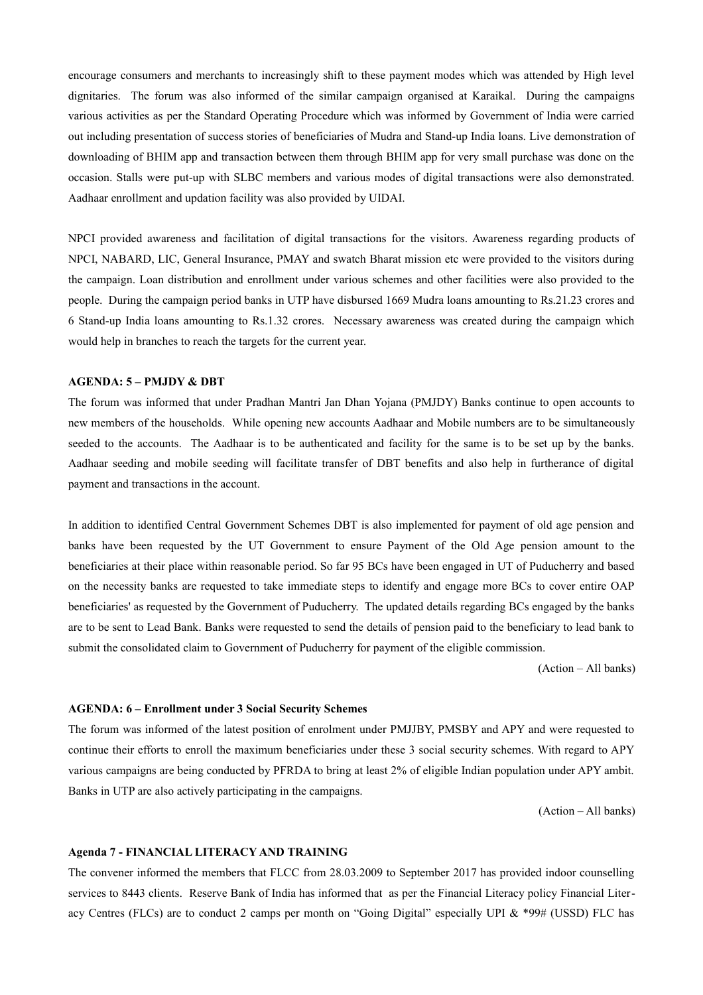encourage consumers and merchants to increasingly shift to these payment modes which was attended by High level dignitaries. The forum was also informed of the similar campaign organised at Karaikal. During the campaigns various activities as per the Standard Operating Procedure which was informed by Government of India were carried out including presentation of success stories of beneficiaries of Mudra and Stand-up India loans. Live demonstration of downloading of BHIM app and transaction between them through BHIM app for very small purchase was done on the occasion. Stalls were put-up with SLBC members and various modes of digital transactions were also demonstrated. Aadhaar enrollment and updation facility was also provided by UIDAI.

NPCI provided awareness and facilitation of digital transactions for the visitors. Awareness regarding products of NPCI, NABARD, LIC, General Insurance, PMAY and swatch Bharat mission etc were provided to the visitors during the campaign. Loan distribution and enrollment under various schemes and other facilities were also provided to the people. During the campaign period banks in UTP have disbursed 1669 Mudra loans amounting to Rs.21.23 crores and 6 Stand-up India loans amounting to Rs.1.32 crores. Necessary awareness was created during the campaign which would help in branches to reach the targets for the current year.

## **AGENDA: 5 – PMJDY & DBT**

The forum was informed that under Pradhan Mantri Jan Dhan Yojana (PMJDY) Banks continue to open accounts to new members of the households. While opening new accounts Aadhaar and Mobile numbers are to be simultaneously seeded to the accounts. The Aadhaar is to be authenticated and facility for the same is to be set up by the banks. Aadhaar seeding and mobile seeding will facilitate transfer of DBT benefits and also help in furtherance of digital payment and transactions in the account.

In addition to identified Central Government Schemes DBT is also implemented for payment of old age pension and banks have been requested by the UT Government to ensure Payment of the Old Age pension amount to the beneficiaries at their place within reasonable period. So far 95 BCs have been engaged in UT of Puducherry and based on the necessity banks are requested to take immediate steps to identify and engage more BCs to cover entire OAP beneficiaries' as requested by the Government of Puducherry. The updated details regarding BCs engaged by the banks are to be sent to Lead Bank. Banks were requested to send the details of pension paid to the beneficiary to lead bank to submit the consolidated claim to Government of Puducherry for payment of the eligible commission.

(Action – All banks)

#### **AGENDA: 6 – Enrollment under 3 Social Security Schemes**

The forum was informed of the latest position of enrolment under PMJJBY, PMSBY and APY and were requested to continue their efforts to enroll the maximum beneficiaries under these 3 social security schemes. With regard to APY various campaigns are being conducted by PFRDA to bring at least 2% of eligible Indian population under APY ambit. Banks in UTP are also actively participating in the campaigns.

(Action – All banks)

#### **Agenda 7 - FINANCIAL LITERACY AND TRAINING**

The convener informed the members that FLCC from 28.03.2009 to September 2017 has provided indoor counselling services to 8443 clients. Reserve Bank of India has informed that as per the Financial Literacy policy Financial Literacy Centres (FLCs) are to conduct 2 camps per month on "Going Digital" especially UPI  $&$  \*99# (USSD) FLC has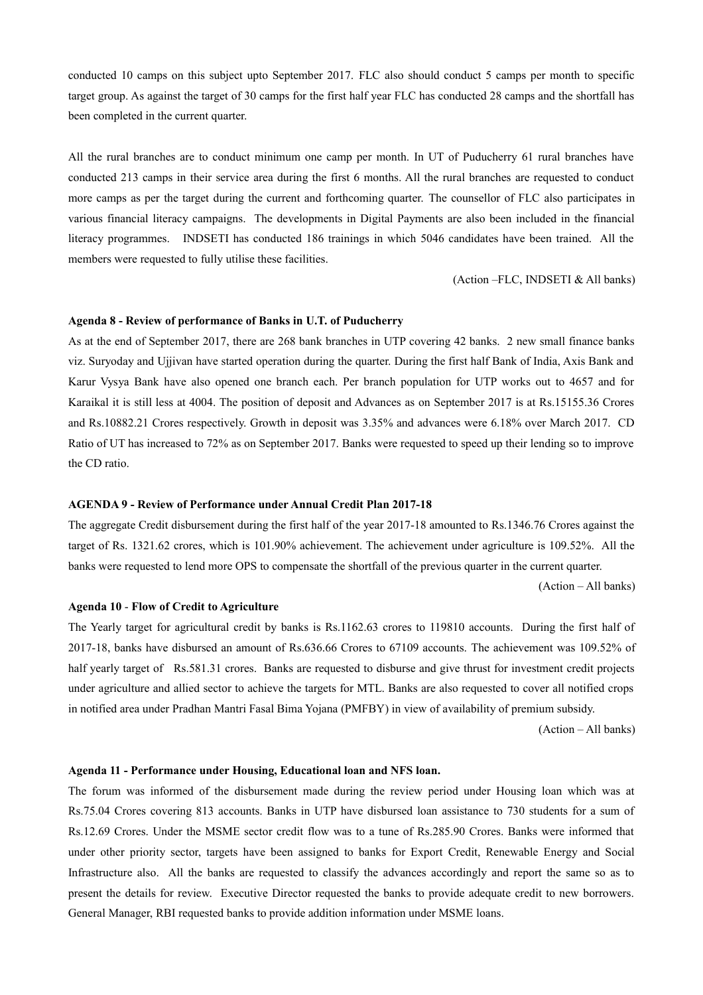conducted 10 camps on this subject upto September 2017. FLC also should conduct 5 camps per month to specific target group. As against the target of 30 camps for the first half year FLC has conducted 28 camps and the shortfall has been completed in the current quarter.

All the rural branches are to conduct minimum one camp per month. In UT of Puducherry 61 rural branches have conducted 213 camps in their service area during the first 6 months. All the rural branches are requested to conduct more camps as per the target during the current and forthcoming quarter. The counsellor of FLC also participates in various financial literacy campaigns. The developments in Digital Payments are also been included in the financial literacy programmes. INDSETI has conducted 186 trainings in which 5046 candidates have been trained. All the members were requested to fully utilise these facilities.

(Action –FLC, INDSETI & All banks)

## **Agenda 8 - Review of performance of Banks in U.T. of Puducherry**

As at the end of September 2017, there are 268 bank branches in UTP covering 42 banks. 2 new small finance banks viz. Suryoday and Ujjivan have started operation during the quarter. During the first half Bank of India, Axis Bank and Karur Vysya Bank have also opened one branch each. Per branch population for UTP works out to 4657 and for Karaikal it is still less at 4004. The position of deposit and Advances as on September 2017 is at Rs.15155.36 Crores and Rs.10882.21 Crores respectively. Growth in deposit was 3.35% and advances were 6.18% over March 2017. CD Ratio of UT has increased to 72% as on September 2017. Banks were requested to speed up their lending so to improve the CD ratio.

## **AGENDA 9 - Review of Performance under Annual Credit Plan 2017-18**

The aggregate Credit disbursement during the first half of the year 2017-18 amounted to Rs.1346.76 Crores against the target of Rs. 1321.62 crores, which is 101.90% achievement. The achievement under agriculture is 109.52%. All the banks were requested to lend more OPS to compensate the shortfall of the previous quarter in the current quarter.

(Action – All banks)

#### **Agenda 10** - **Flow of Credit to Agriculture**

The Yearly target for agricultural credit by banks is Rs.1162.63 crores to 119810 accounts. During the first half of 2017-18, banks have disbursed an amount of Rs.636.66 Crores to 67109 accounts. The achievement was 109.52% of half yearly target of Rs.581.31 crores. Banks are requested to disburse and give thrust for investment credit projects under agriculture and allied sector to achieve the targets for MTL. Banks are also requested to cover all notified crops in notified area under Pradhan Mantri Fasal Bima Yojana (PMFBY) in view of availability of premium subsidy.

(Action – All banks)

## **Agenda 11 - Performance under Housing, Educational loan and NFS loan.**

The forum was informed of the disbursement made during the review period under Housing loan which was at Rs.75.04 Crores covering 813 accounts. Banks in UTP have disbursed loan assistance to 730 students for a sum of Rs.12.69 Crores. Under the MSME sector credit flow was to a tune of Rs.285.90 Crores. Banks were informed that under other priority sector, targets have been assigned to banks for Export Credit, Renewable Energy and Social Infrastructure also. All the banks are requested to classify the advances accordingly and report the same so as to present the details for review. Executive Director requested the banks to provide adequate credit to new borrowers. General Manager, RBI requested banks to provide addition information under MSME loans.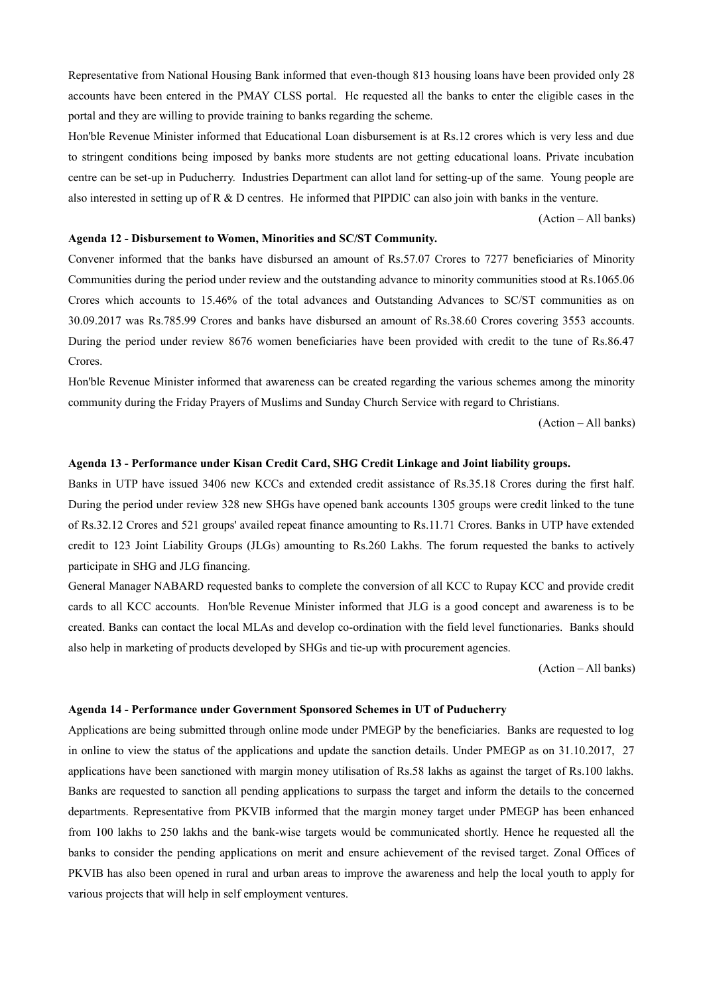Representative from National Housing Bank informed that even-though 813 housing loans have been provided only 28 accounts have been entered in the PMAY CLSS portal. He requested all the banks to enter the eligible cases in the portal and they are willing to provide training to banks regarding the scheme.

Hon'ble Revenue Minister informed that Educational Loan disbursement is at Rs.12 crores which is very less and due to stringent conditions being imposed by banks more students are not getting educational loans. Private incubation centre can be set-up in Puducherry. Industries Department can allot land for setting-up of the same. Young people are also interested in setting up of R & D centres. He informed that PIPDIC can also join with banks in the venture.

(Action – All banks)

## **Agenda 12 - Disbursement to Women, Minorities and SC/ST Community.**

Convener informed that the banks have disbursed an amount of Rs.57.07 Crores to 7277 beneficiaries of Minority Communities during the period under review and the outstanding advance to minority communities stood at Rs.1065.06 Crores which accounts to 15.46% of the total advances and Outstanding Advances to SC/ST communities as on 30.09.2017 was Rs.785.99 Crores and banks have disbursed an amount of Rs.38.60 Crores covering 3553 accounts. During the period under review 8676 women beneficiaries have been provided with credit to the tune of Rs.86.47 Crores.

Hon'ble Revenue Minister informed that awareness can be created regarding the various schemes among the minority community during the Friday Prayers of Muslims and Sunday Church Service with regard to Christians.

(Action – All banks)

#### **Agenda 13 - Performance under Kisan Credit Card, SHG Credit Linkage and Joint liability groups.**

Banks in UTP have issued 3406 new KCCs and extended credit assistance of Rs.35.18 Crores during the first half. During the period under review 328 new SHGs have opened bank accounts 1305 groups were credit linked to the tune of Rs.32.12 Crores and 521 groups' availed repeat finance amounting to Rs.11.71 Crores. Banks in UTP have extended credit to 123 Joint Liability Groups (JLGs) amounting to Rs.260 Lakhs. The forum requested the banks to actively participate in SHG and JLG financing.

General Manager NABARD requested banks to complete the conversion of all KCC to Rupay KCC and provide credit cards to all KCC accounts. Hon'ble Revenue Minister informed that JLG is a good concept and awareness is to be created. Banks can contact the local MLAs and develop co-ordination with the field level functionaries. Banks should also help in marketing of products developed by SHGs and tie-up with procurement agencies.

(Action – All banks)

#### **Agenda 14 - Performance under Government Sponsored Schemes in UT of Puducherry**

Applications are being submitted through online mode under PMEGP by the beneficiaries. Banks are requested to log in online to view the status of the applications and update the sanction details. Under PMEGP as on 31.10.2017, 27 applications have been sanctioned with margin money utilisation of Rs.58 lakhs as against the target of Rs.100 lakhs. Banks are requested to sanction all pending applications to surpass the target and inform the details to the concerned departments. Representative from PKVIB informed that the margin money target under PMEGP has been enhanced from 100 lakhs to 250 lakhs and the bank-wise targets would be communicated shortly. Hence he requested all the banks to consider the pending applications on merit and ensure achievement of the revised target. Zonal Offices of PKVIB has also been opened in rural and urban areas to improve the awareness and help the local youth to apply for various projects that will help in self employment ventures.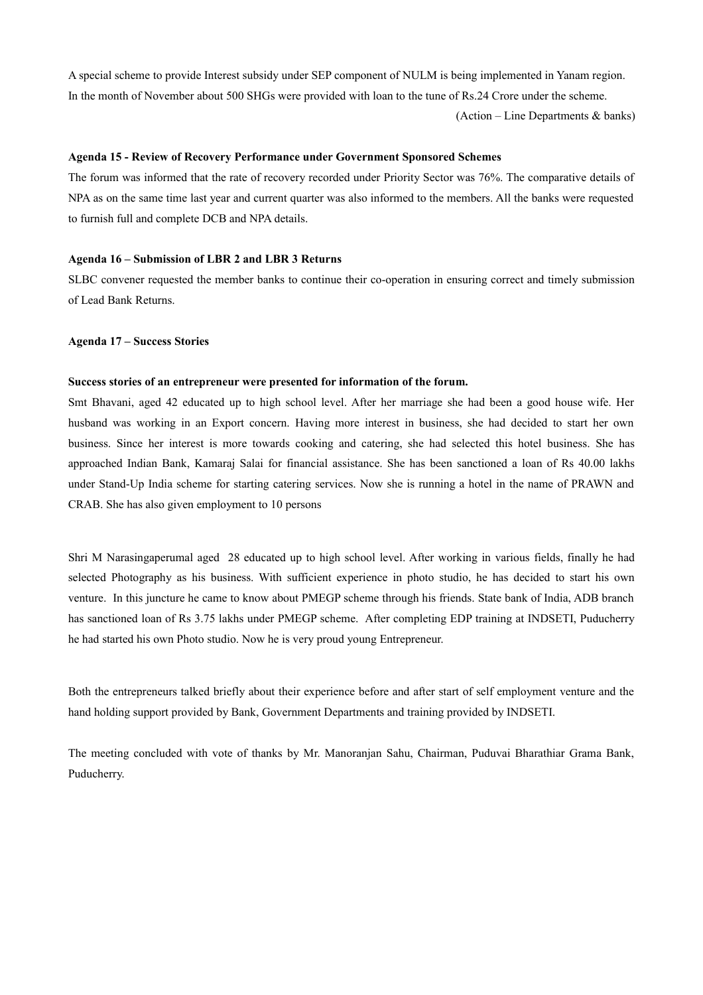A special scheme to provide Interest subsidy under SEP component of NULM is being implemented in Yanam region. In the month of November about 500 SHGs were provided with loan to the tune of Rs.24 Crore under the scheme.

(Action – Line Departments & banks)

#### **Agenda 15 - Review of Recovery Performance under Government Sponsored Schemes**

The forum was informed that the rate of recovery recorded under Priority Sector was 76%. The comparative details of NPA as on the same time last year and current quarter was also informed to the members. All the banks were requested to furnish full and complete DCB and NPA details.

#### **Agenda 16 – Submission of LBR 2 and LBR 3 Returns**

SLBC convener requested the member banks to continue their co-operation in ensuring correct and timely submission of Lead Bank Returns.

#### **Agenda 17 – Success Stories**

## **Success stories of an entrepreneur were presented for information of the forum.**

Smt Bhavani, aged 42 educated up to high school level. After her marriage she had been a good house wife. Her husband was working in an Export concern. Having more interest in business, she had decided to start her own business. Since her interest is more towards cooking and catering, she had selected this hotel business. She has approached Indian Bank, Kamaraj Salai for financial assistance. She has been sanctioned a loan of Rs 40.00 lakhs under Stand-Up India scheme for starting catering services. Now she is running a hotel in the name of PRAWN and CRAB. She has also given employment to 10 persons

Shri M Narasingaperumal aged 28 educated up to high school level. After working in various fields, finally he had selected Photography as his business. With sufficient experience in photo studio, he has decided to start his own venture. In this juncture he came to know about PMEGP scheme through his friends. State bank of India, ADB branch has sanctioned loan of Rs 3.75 lakhs under PMEGP scheme. After completing EDP training at INDSETI, Puducherry he had started his own Photo studio. Now he is very proud young Entrepreneur.

Both the entrepreneurs talked briefly about their experience before and after start of self employment venture and the hand holding support provided by Bank, Government Departments and training provided by INDSETI.

The meeting concluded with vote of thanks by Mr. Manoranjan Sahu, Chairman, Puduvai Bharathiar Grama Bank, Puducherry.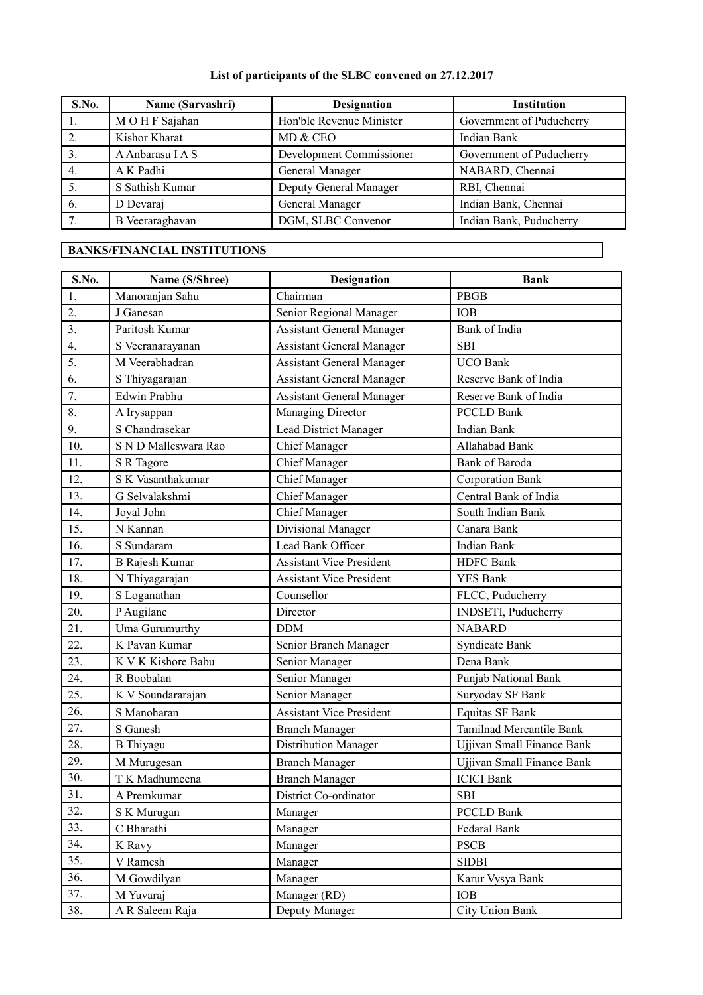# **List of participants of the SLBC convened on 27.12.2017**

| S.No. | Name (Sarvashri) | <b>Designation</b>       | <b>Institution</b>       |
|-------|------------------|--------------------------|--------------------------|
|       | MOHF Sajahan     | Hon'ble Revenue Minister | Government of Puducherry |
|       | Kishor Kharat    | MD & CEO                 | Indian Bank              |
|       | A Anbarasu I A S | Development Commissioner | Government of Puducherry |
| 4.    | A K Padhi        | General Manager          | NABARD, Chennai          |
|       | S Sathish Kumar  | Deputy General Manager   | RBI, Chennai             |
| 6.    | D Devaraj        | General Manager          | Indian Bank, Chennai     |
|       | B Veeraraghavan  | DGM, SLBC Convenor       | Indian Bank, Puducherry  |

## **BANKS/FINANCIAL INSTITUTIONS**

| S.No. | Name (S/Shree)        | Designation                      | <b>Bank</b>                |
|-------|-----------------------|----------------------------------|----------------------------|
| 1.    | Manoranjan Sahu       | Chairman                         | <b>PBGB</b>                |
| 2.    | J Ganesan             | Senior Regional Manager          | <b>IOB</b>                 |
| 3.    | Paritosh Kumar        | <b>Assistant General Manager</b> | Bank of India              |
| 4.    | S Veeranarayanan      | <b>Assistant General Manager</b> | <b>SBI</b>                 |
| 5.    | M Veerabhadran        | <b>Assistant General Manager</b> | <b>UCO Bank</b>            |
| 6.    | S Thiyagarajan        | <b>Assistant General Manager</b> | Reserve Bank of India      |
| 7.    | Edwin Prabhu          | <b>Assistant General Manager</b> | Reserve Bank of India      |
| 8.    | A Irysappan           | Managing Director                | <b>PCCLD Bank</b>          |
| 9.    | S Chandrasekar        | Lead District Manager            | <b>Indian Bank</b>         |
| 10.   | S N D Malleswara Rao  | Chief Manager                    | Allahabad Bank             |
| 11.   | S R Tagore            | <b>Chief Manager</b>             | <b>Bank of Baroda</b>      |
| 12.   | S K Vasanthakumar     | <b>Chief Manager</b>             | Corporation Bank           |
| 13.   | G Selvalakshmi        | Chief Manager                    | Central Bank of India      |
| 14.   | Joyal John            | <b>Chief Manager</b>             | South Indian Bank          |
| 15.   | N Kannan              | Divisional Manager               | Canara Bank                |
| 16.   | S Sundaram            | Lead Bank Officer                | <b>Indian Bank</b>         |
| 17.   | <b>B</b> Rajesh Kumar | <b>Assistant Vice President</b>  | <b>HDFC</b> Bank           |
| 18.   | N Thiyagarajan        | <b>Assistant Vice President</b>  | <b>YES Bank</b>            |
| 19.   | S Loganathan          | Counsellor                       | FLCC, Puducherry           |
| 20.   | P Augilane            | Director                         | <b>INDSETI, Puducherry</b> |
| 21.   | Uma Gurumurthy        | <b>DDM</b>                       | <b>NABARD</b>              |
| 22.   | K Pavan Kumar         | Senior Branch Manager            | Syndicate Bank             |
| 23.   | K V K Kishore Babu    | Senior Manager                   | Dena Bank                  |
| 24.   | R Boobalan            | Senior Manager                   | Punjab National Bank       |
| 25.   | K V Soundararajan     | Senior Manager                   | Suryoday SF Bank           |
| 26.   | S Manoharan           | <b>Assistant Vice President</b>  | Equitas SF Bank            |
| 27.   | S Ganesh              | <b>Branch Manager</b>            | Tamilnad Mercantile Bank   |
| 28.   | <b>B</b> Thiyagu      | Distribution Manager             | Ujjivan Small Finance Bank |
| 29.   | M Murugesan           | <b>Branch Manager</b>            | Ujjivan Small Finance Bank |
| 30.   | T K Madhumeena        | <b>Branch Manager</b>            | <b>ICICI</b> Bank          |
| 31.   | A Premkumar           | District Co-ordinator            | SBI                        |
| 32.   | S K Murugan           | Manager                          | PCCLD Bank                 |
| 33.   | C Bharathi            | Manager                          | Fedaral Bank               |
| 34.   | K Ravy                | Manager                          | <b>PSCB</b>                |
| 35.   | V Ramesh              | Manager                          | <b>SIDBI</b>               |
| 36.   | M Gowdilyan           | Manager                          | Karur Vysya Bank           |
| 37.   | M Yuvaraj             | Manager (RD)                     | IOB                        |
| 38.   | A R Saleem Raja       | Deputy Manager                   | City Union Bank            |